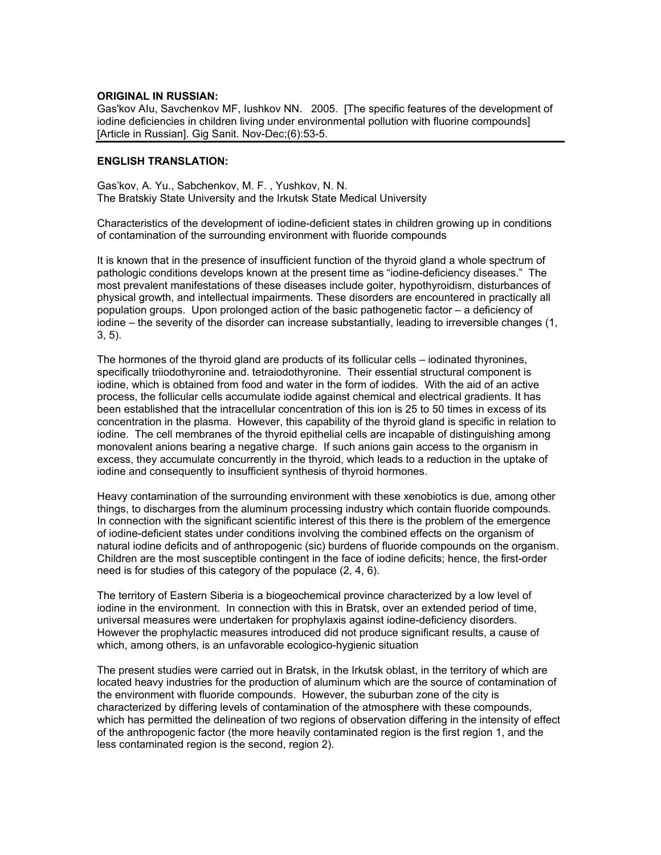## **ORIGINAL IN RUSSIAN:**

Gas'kov AIu, Savchenkov MF, Iushkov NN. 2005. [The specific features of the development of iodine deficiencies in children living under environmental pollution with fluorine compounds] [Article in Russian]. Gig Sanit. Nov-Dec;(6):53-5.

## **ENGLISH TRANSLATION:**

Gas'kov, A. Yu., Sabchenkov, M. F. , Yushkov, N. N. The Bratskiy State University and the Irkutsk State Medical University

Characteristics of the development of iodine-deficient states in children growing up in conditions of contamination of the surrounding environment with fluoride compounds

It is known that in the presence of insufficient function of the thyroid gland a whole spectrum of pathologic conditions develops known at the present time as "iodine-deficiency diseases." The most prevalent manifestations of these diseases include goiter, hypothyroidism, disturbances of physical growth, and intellectual impairments. These disorders are encountered in practically all population groups. Upon prolonged action of the basic pathogenetic factor – a deficiency of iodine – the severity of the disorder can increase substantially, leading to irreversible changes (1, 3, 5).

The hormones of the thyroid gland are products of its follicular cells – iodinated thyronines, specifically triiodothyronine and. tetraiodothyronine. Their essential structural component is iodine, which is obtained from food and water in the form of iodides. With the aid of an active process, the follicular cells accumulate iodide against chemical and electrical gradients. It has been established that the intracellular concentration of this ion is 25 to 50 times in excess of its concentration in the plasma. However, this capability of the thyroid gland is specific in relation to iodine. The cell membranes of the thyroid epithelial cells are incapable of distinguishing among monovalent anions bearing a negative charge. If such anions gain access to the organism in excess, they accumulate concurrently in the thyroid, which leads to a reduction in the uptake of iodine and consequently to insufficient synthesis of thyroid hormones.

Heavy contamination of the surrounding environment with these xenobiotics is due, among other things, to discharges from the aluminum processing industry which contain fluoride compounds. In connection with the significant scientific interest of this there is the problem of the emergence of iodine-deficient states under conditions involving the combined effects on the organism of natural iodine deficits and of anthropogenic (sic) burdens of fluoride compounds on the organism. Children are the most susceptible contingent in the face of iodine deficits; hence, the first-order need is for studies of this category of the populace (2, 4, 6).

The territory of Eastern Siberia is a biogeochemical province characterized by a low level of iodine in the environment. In connection with this in Bratsk, over an extended period of time, universal measures were undertaken for prophylaxis against iodine-deficiency disorders. However the prophylactic measures introduced did not produce significant results, a cause of which, among others, is an unfavorable ecologico-hygienic situation

The present studies were carried out in Bratsk, in the Irkutsk oblast, in the territory of which are located heavy industries for the production of aluminum which are the source of contamination of the environment with fluoride compounds. However, the suburban zone of the city is characterized by differing levels of contamination of the atmosphere with these compounds, which has permitted the delineation of two regions of observation differing in the intensity of effect of the anthropogenic factor (the more heavily contaminated region is the first region 1, and the less contaminated region is the second, region 2).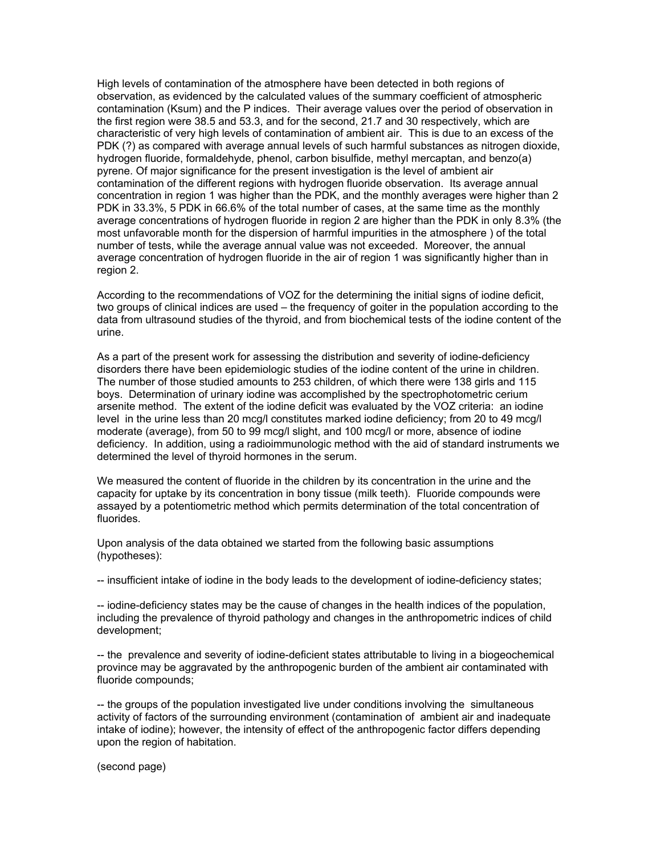High levels of contamination of the atmosphere have been detected in both regions of observation, as evidenced by the calculated values of the summary coefficient of atmospheric contamination (Ksum) and the P indices. Their average values over the period of observation in the first region were 38.5 and 53.3, and for the second, 21.7 and 30 respectively, which are characteristic of very high levels of contamination of ambient air. This is due to an excess of the PDK (?) as compared with average annual levels of such harmful substances as nitrogen dioxide, hydrogen fluoride, formaldehyde, phenol, carbon bisulfide, methyl mercaptan, and benzo(a) pyrene. Of major significance for the present investigation is the level of ambient air contamination of the different regions with hydrogen fluoride observation. Its average annual concentration in region 1 was higher than the PDK, and the monthly averages were higher than 2 PDK in 33.3%, 5 PDK in 66.6% of the total number of cases, at the same time as the monthly average concentrations of hydrogen fluoride in region 2 are higher than the PDK in only 8.3% (the most unfavorable month for the dispersion of harmful impurities in the atmosphere ) of the total number of tests, while the average annual value was not exceeded. Moreover, the annual average concentration of hydrogen fluoride in the air of region 1 was significantly higher than in region 2.

According to the recommendations of VOZ for the determining the initial signs of iodine deficit, two groups of clinical indices are used – the frequency of goiter in the population according to the data from ultrasound studies of the thyroid, and from biochemical tests of the iodine content of the urine.

As a part of the present work for assessing the distribution and severity of iodine-deficiency disorders there have been epidemiologic studies of the iodine content of the urine in children. The number of those studied amounts to 253 children, of which there were 138 girls and 115 boys. Determination of urinary iodine was accomplished by the spectrophotometric cerium arsenite method. The extent of the iodine deficit was evaluated by the VOZ criteria: an iodine level in the urine less than 20 mcg/l constitutes marked iodine deficiency; from 20 to 49 mcg/l moderate (average), from 50 to 99 mcg/l slight, and 100 mcg/l or more, absence of iodine deficiency. In addition, using a radioimmunologic method with the aid of standard instruments we determined the level of thyroid hormones in the serum.

We measured the content of fluoride in the children by its concentration in the urine and the capacity for uptake by its concentration in bony tissue (milk teeth). Fluoride compounds were assayed by a potentiometric method which permits determination of the total concentration of fluorides.

Upon analysis of the data obtained we started from the following basic assumptions (hypotheses):

-- insufficient intake of iodine in the body leads to the development of iodine-deficiency states;

-- iodine-deficiency states may be the cause of changes in the health indices of the population, including the prevalence of thyroid pathology and changes in the anthropometric indices of child development;

-- the prevalence and severity of iodine-deficient states attributable to living in a biogeochemical province may be aggravated by the anthropogenic burden of the ambient air contaminated with fluoride compounds;

-- the groups of the population investigated live under conditions involving the simultaneous activity of factors of the surrounding environment (contamination of ambient air and inadequate intake of iodine); however, the intensity of effect of the anthropogenic factor differs depending upon the region of habitation.

(second page)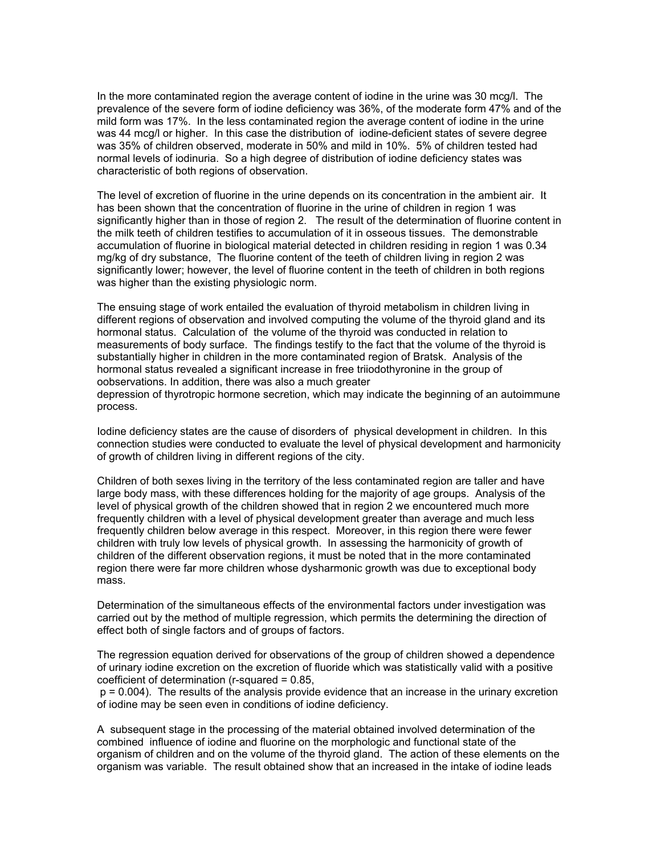In the more contaminated region the average content of iodine in the urine was 30 mcg/l. The prevalence of the severe form of iodine deficiency was 36%, of the moderate form 47% and of the mild form was 17%. In the less contaminated region the average content of iodine in the urine was 44 mcg/l or higher. In this case the distribution of iodine-deficient states of severe degree was 35% of children observed, moderate in 50% and mild in 10%. 5% of children tested had normal levels of iodinuria. So a high degree of distribution of iodine deficiency states was characteristic of both regions of observation.

The level of excretion of fluorine in the urine depends on its concentration in the ambient air. It has been shown that the concentration of fluorine in the urine of children in region 1 was significantly higher than in those of region 2. The result of the determination of fluorine content in the milk teeth of children testifies to accumulation of it in osseous tissues. The demonstrable accumulation of fluorine in biological material detected in children residing in region 1 was 0.34 mg/kg of dry substance, The fluorine content of the teeth of children living in region 2 was significantly lower; however, the level of fluorine content in the teeth of children in both regions was higher than the existing physiologic norm.

The ensuing stage of work entailed the evaluation of thyroid metabolism in children living in different regions of observation and involved computing the volume of the thyroid gland and its hormonal status. Calculation of the volume of the thyroid was conducted in relation to measurements of body surface. The findings testify to the fact that the volume of the thyroid is substantially higher in children in the more contaminated region of Bratsk. Analysis of the hormonal status revealed a significant increase in free triiodothyronine in the group of oobservations. In addition, there was also a much greater depression of thyrotropic hormone secretion, which may indicate the beginning of an autoimmune

process.

Iodine deficiency states are the cause of disorders of physical development in children. In this connection studies were conducted to evaluate the level of physical development and harmonicity of growth of children living in different regions of the city.

Children of both sexes living in the territory of the less contaminated region are taller and have large body mass, with these differences holding for the majority of age groups. Analysis of the level of physical growth of the children showed that in region 2 we encountered much more frequently children with a level of physical development greater than average and much less frequently children below average in this respect. Moreover, in this region there were fewer children with truly low levels of physical growth. In assessing the harmonicity of growth of children of the different observation regions, it must be noted that in the more contaminated region there were far more children whose dysharmonic growth was due to exceptional body mass.

Determination of the simultaneous effects of the environmental factors under investigation was carried out by the method of multiple regression, which permits the determining the direction of effect both of single factors and of groups of factors.

The regression equation derived for observations of the group of children showed a dependence of urinary iodine excretion on the excretion of fluoride which was statistically valid with a positive coefficient of determination (r-squared = 0.85,

 p = 0.004). The results of the analysis provide evidence that an increase in the urinary excretion of iodine may be seen even in conditions of iodine deficiency.

A subsequent stage in the processing of the material obtained involved determination of the combined influence of iodine and fluorine on the morphologic and functional state of the organism of children and on the volume of the thyroid gland. The action of these elements on the organism was variable. The result obtained show that an increased in the intake of iodine leads